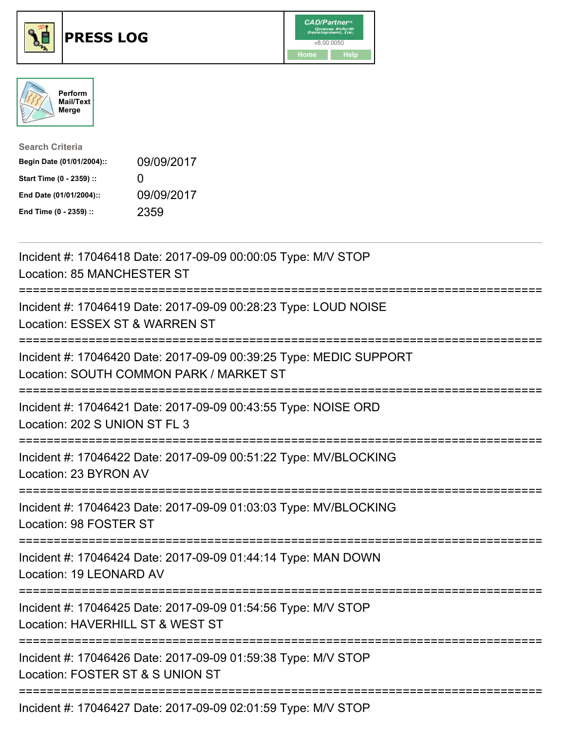





| <b>Search Criteria</b>    |                   |
|---------------------------|-------------------|
| Begin Date (01/01/2004):: | 09/09/2017        |
| Start Time (0 - 2359) ::  | $\mathbf{\Omega}$ |
| End Date (01/01/2004)::   | 09/09/2017        |
| End Time (0 - 2359) ::    | 2359              |

| Incident #: 17046418 Date: 2017-09-09 00:00:05 Type: M/V STOP<br>Location: 85 MANCHESTER ST                                                                                                                                                                                                                            |
|------------------------------------------------------------------------------------------------------------------------------------------------------------------------------------------------------------------------------------------------------------------------------------------------------------------------|
| Incident #: 17046419 Date: 2017-09-09 00:28:23 Type: LOUD NOISE<br>Location: ESSEX ST & WARREN ST                                                                                                                                                                                                                      |
| Incident #: 17046420 Date: 2017-09-09 00:39:25 Type: MEDIC SUPPORT<br>Location: SOUTH COMMON PARK / MARKET ST                                                                                                                                                                                                          |
| Incident #: 17046421 Date: 2017-09-09 00:43:55 Type: NOISE ORD<br>Location: 202 S UNION ST FL 3<br>======================                                                                                                                                                                                              |
| Incident #: 17046422 Date: 2017-09-09 00:51:22 Type: MV/BLOCKING<br>Location: 23 BYRON AV<br>.--------------                                                                                                                                                                                                           |
| Incident #: 17046423 Date: 2017-09-09 01:03:03 Type: MV/BLOCKING<br>Location: 98 FOSTER ST                                                                                                                                                                                                                             |
| Incident #: 17046424 Date: 2017-09-09 01:44:14 Type: MAN DOWN<br>Location: 19 LEONARD AV                                                                                                                                                                                                                               |
| Incident #: 17046425 Date: 2017-09-09 01:54:56 Type: M/V STOP<br>Location: HAVERHILL ST & WEST ST                                                                                                                                                                                                                      |
| Incident #: 17046426 Date: 2017-09-09 01:59:38 Type: M/V STOP<br>Location: FOSTER ST & S UNION ST                                                                                                                                                                                                                      |
| $\frac{1}{2}$ and $\frac{1}{2}$ $\frac{1}{2}$ $\frac{1}{2}$ $\frac{1}{2}$ $\frac{1}{2}$ $\frac{1}{2}$ $\frac{1}{2}$ $\frac{1}{2}$ $\frac{1}{2}$ $\frac{1}{2}$ $\frac{1}{2}$ $\frac{1}{2}$ $\frac{1}{2}$ $\frac{1}{2}$ $\frac{1}{2}$ $\frac{1}{2}$ $\frac{1}{2}$ $\frac{1}{2}$ $\frac{1}{2}$ $\frac{1}{2}$ $\frac{1}{2$ |

Incident #: 17046427 Date: 2017-09-09 02:01:59 Type: M/V STOP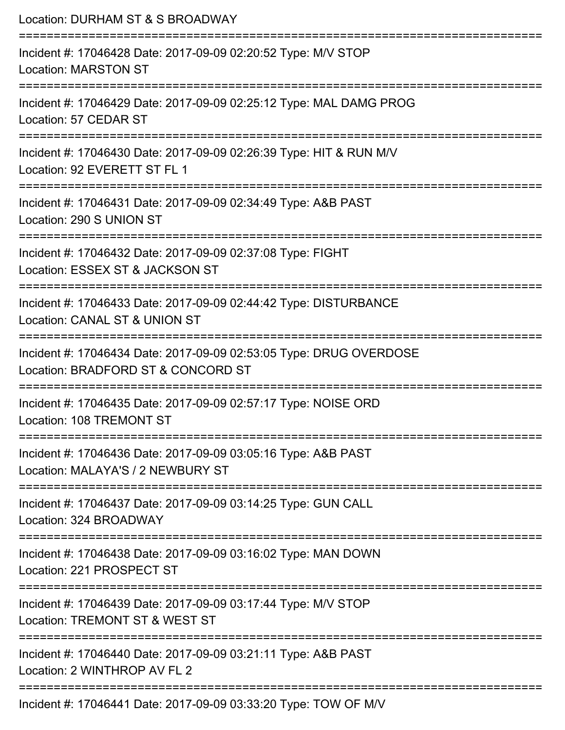| Location: DURHAM ST & S BROADWAY<br>=======================                                                                |
|----------------------------------------------------------------------------------------------------------------------------|
| Incident #: 17046428 Date: 2017-09-09 02:20:52 Type: M/V STOP<br><b>Location: MARSTON ST</b>                               |
| Incident #: 17046429 Date: 2017-09-09 02:25:12 Type: MAL DAMG PROG<br>Location: 57 CEDAR ST                                |
| Incident #: 17046430 Date: 2017-09-09 02:26:39 Type: HIT & RUN M/V<br>Location: 92 EVERETT ST FL 1<br>:================    |
| Incident #: 17046431 Date: 2017-09-09 02:34:49 Type: A&B PAST<br>Location: 290 S UNION ST                                  |
| Incident #: 17046432 Date: 2017-09-09 02:37:08 Type: FIGHT<br>Location: ESSEX ST & JACKSON ST<br>:======================== |
| Incident #: 17046433 Date: 2017-09-09 02:44:42 Type: DISTURBANCE<br>Location: CANAL ST & UNION ST                          |
| Incident #: 17046434 Date: 2017-09-09 02:53:05 Type: DRUG OVERDOSE<br>Location: BRADFORD ST & CONCORD ST                   |
| Incident #: 17046435 Date: 2017-09-09 02:57:17 Type: NOISE ORD<br>Location: 108 TREMONT ST                                 |
| Incident #: 17046436 Date: 2017-09-09 03:05:16 Type: A&B PAST<br>Location: MALAYA'S / 2 NEWBURY ST                         |
| Incident #: 17046437 Date: 2017-09-09 03:14:25 Type: GUN CALL<br>Location: 324 BROADWAY                                    |
| Incident #: 17046438 Date: 2017-09-09 03:16:02 Type: MAN DOWN<br>Location: 221 PROSPECT ST                                 |
| Incident #: 17046439 Date: 2017-09-09 03:17:44 Type: M/V STOP<br>Location: TREMONT ST & WEST ST                            |
| Incident #: 17046440 Date: 2017-09-09 03:21:11 Type: A&B PAST<br>Location: 2 WINTHROP AV FL 2                              |
| $Inc$ Incident #: 17046441 Date: 2017-09-09 03:33:20 $True$ : TOM OF MAL                                                   |

Incident #: 17046441 Date: 2017-09-09 03:33:20 Type: TOW OF M/V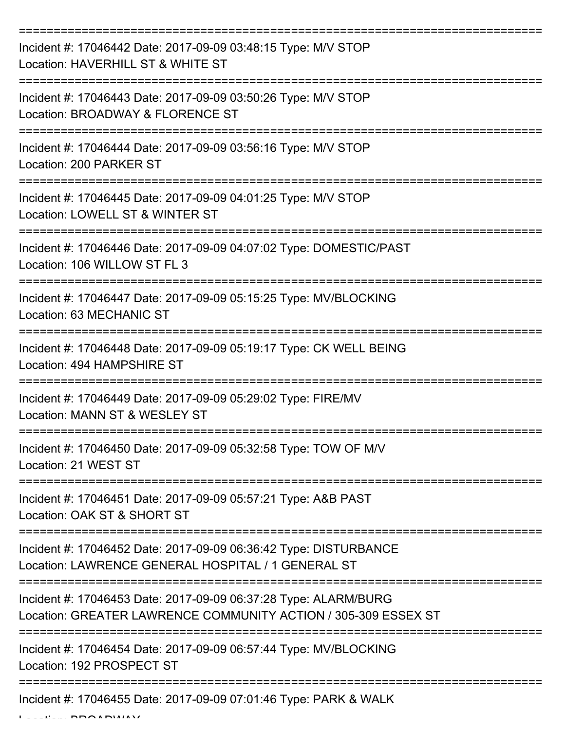| Incident #: 17046442 Date: 2017-09-09 03:48:15 Type: M/V STOP<br>Location: HAVERHILL ST & WHITE ST                                |
|-----------------------------------------------------------------------------------------------------------------------------------|
| Incident #: 17046443 Date: 2017-09-09 03:50:26 Type: M/V STOP<br>Location: BROADWAY & FLORENCE ST                                 |
| Incident #: 17046444 Date: 2017-09-09 03:56:16 Type: M/V STOP<br>Location: 200 PARKER ST                                          |
| Incident #: 17046445 Date: 2017-09-09 04:01:25 Type: M/V STOP<br>Location: LOWELL ST & WINTER ST                                  |
| Incident #: 17046446 Date: 2017-09-09 04:07:02 Type: DOMESTIC/PAST<br>Location: 106 WILLOW ST FL 3                                |
| Incident #: 17046447 Date: 2017-09-09 05:15:25 Type: MV/BLOCKING<br>Location: 63 MECHANIC ST                                      |
| Incident #: 17046448 Date: 2017-09-09 05:19:17 Type: CK WELL BEING<br>Location: 494 HAMPSHIRE ST                                  |
| Incident #: 17046449 Date: 2017-09-09 05:29:02 Type: FIRE/MV<br>Location: MANN ST & WESLEY ST                                     |
| Incident #: 17046450 Date: 2017-09-09 05:32:58 Type: TOW OF M/V<br>Location: 21 WEST ST                                           |
| Incident #: 17046451 Date: 2017-09-09 05:57:21 Type: A&B PAST<br>Location: OAK ST & SHORT ST                                      |
| Incident #: 17046452 Date: 2017-09-09 06:36:42 Type: DISTURBANCE<br>Location: LAWRENCE GENERAL HOSPITAL / 1 GENERAL ST            |
| Incident #: 17046453 Date: 2017-09-09 06:37:28 Type: ALARM/BURG<br>Location: GREATER LAWRENCE COMMUNITY ACTION / 305-309 ESSEX ST |
| Incident #: 17046454 Date: 2017-09-09 06:57:44 Type: MV/BLOCKING<br>Location: 192 PROSPECT ST                                     |
| Incident #: 17046455 Date: 2017-09-09 07:01:46 Type: PARK & WALK                                                                  |

 $L = LL = L$  BROADWAY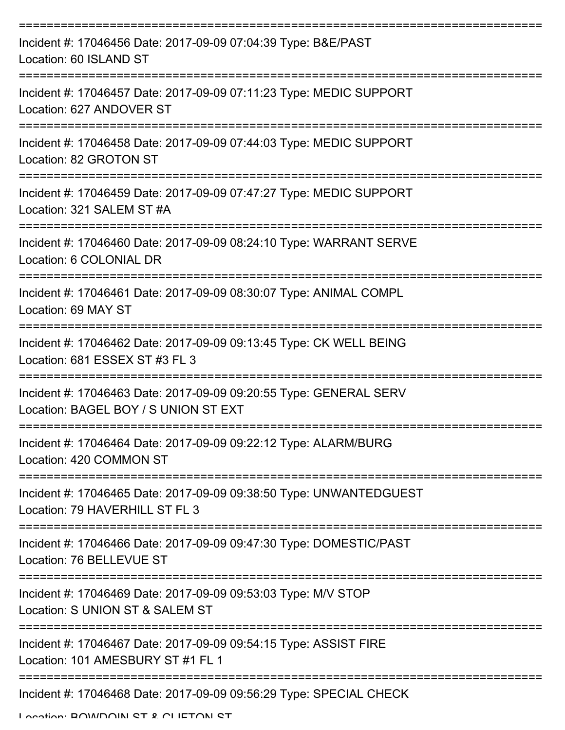| Incident #: 17046456 Date: 2017-09-09 07:04:39 Type: B&E/PAST<br>Location: 60 ISLAND ST                   |
|-----------------------------------------------------------------------------------------------------------|
| Incident #: 17046457 Date: 2017-09-09 07:11:23 Type: MEDIC SUPPORT<br>Location: 627 ANDOVER ST            |
| Incident #: 17046458 Date: 2017-09-09 07:44:03 Type: MEDIC SUPPORT<br>Location: 82 GROTON ST              |
| Incident #: 17046459 Date: 2017-09-09 07:47:27 Type: MEDIC SUPPORT<br>Location: 321 SALEM ST #A           |
| Incident #: 17046460 Date: 2017-09-09 08:24:10 Type: WARRANT SERVE<br>Location: 6 COLONIAL DR             |
| Incident #: 17046461 Date: 2017-09-09 08:30:07 Type: ANIMAL COMPL<br>Location: 69 MAY ST                  |
| Incident #: 17046462 Date: 2017-09-09 09:13:45 Type: CK WELL BEING<br>Location: 681 ESSEX ST #3 FL 3      |
| Incident #: 17046463 Date: 2017-09-09 09:20:55 Type: GENERAL SERV<br>Location: BAGEL BOY / S UNION ST EXT |
| Incident #: 17046464 Date: 2017-09-09 09:22:12 Type: ALARM/BURG<br>Location: 420 COMMON ST                |
| Incident #: 17046465 Date: 2017-09-09 09:38:50 Type: UNWANTEDGUEST<br>Location: 79 HAVERHILL ST FL 3      |
| Incident #: 17046466 Date: 2017-09-09 09:47:30 Type: DOMESTIC/PAST<br>Location: 76 BELLEVUE ST            |
| Incident #: 17046469 Date: 2017-09-09 09:53:03 Type: M/V STOP<br>Location: S UNION ST & SALEM ST          |
| Incident #: 17046467 Date: 2017-09-09 09:54:15 Type: ASSIST FIRE<br>Location: 101 AMESBURY ST #1 FL 1     |
| Incident #: 17046468 Date: 2017-09-09 09:56:29 Type: SPECIAL CHECK                                        |

Location: **BOWDOIN ST & CLIETON ST**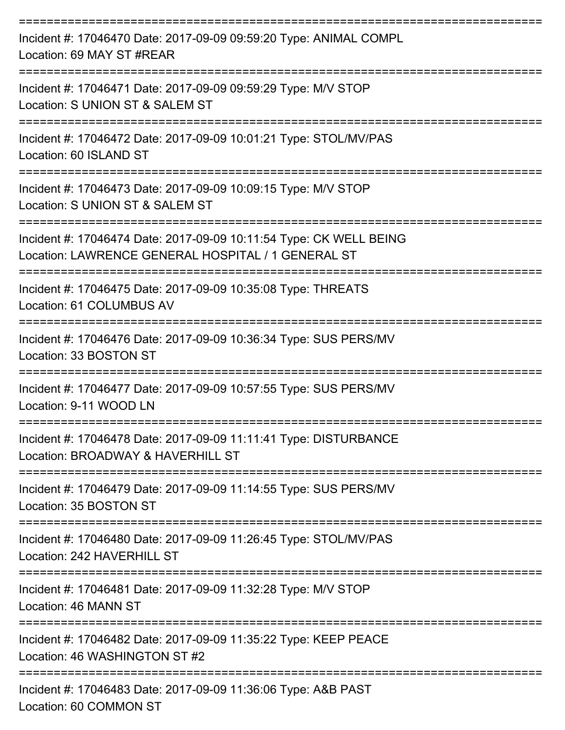| Incident #: 17046470 Date: 2017-09-09 09:59:20 Type: ANIMAL COMPL<br>Location: 69 MAY ST #REAR                           |
|--------------------------------------------------------------------------------------------------------------------------|
| Incident #: 17046471 Date: 2017-09-09 09:59:29 Type: M/V STOP<br>Location: S UNION ST & SALEM ST                         |
| Incident #: 17046472 Date: 2017-09-09 10:01:21 Type: STOL/MV/PAS<br>Location: 60 ISLAND ST                               |
| Incident #: 17046473 Date: 2017-09-09 10:09:15 Type: M/V STOP<br>Location: S UNION ST & SALEM ST                         |
| Incident #: 17046474 Date: 2017-09-09 10:11:54 Type: CK WELL BEING<br>Location: LAWRENCE GENERAL HOSPITAL / 1 GENERAL ST |
| Incident #: 17046475 Date: 2017-09-09 10:35:08 Type: THREATS<br>Location: 61 COLUMBUS AV                                 |
| Incident #: 17046476 Date: 2017-09-09 10:36:34 Type: SUS PERS/MV<br>Location: 33 BOSTON ST                               |
| Incident #: 17046477 Date: 2017-09-09 10:57:55 Type: SUS PERS/MV<br>Location: 9-11 WOOD LN                               |
| Incident #: 17046478 Date: 2017-09-09 11:11:41 Type: DISTURBANCE<br>Location: BROADWAY & HAVERHILL ST                    |
| Incident #: 17046479 Date: 2017-09-09 11:14:55 Type: SUS PERS/MV<br>Location: 35 BOSTON ST                               |
| Incident #: 17046480 Date: 2017-09-09 11:26:45 Type: STOL/MV/PAS<br>Location: 242 HAVERHILL ST                           |
| Incident #: 17046481 Date: 2017-09-09 11:32:28 Type: M/V STOP<br>Location: 46 MANN ST                                    |
| Incident #: 17046482 Date: 2017-09-09 11:35:22 Type: KEEP PEACE<br>Location: 46 WASHINGTON ST #2                         |
| Incident #: 17046483 Date: 2017-09-09 11:36:06 Type: A&B PAST<br>Location: 60 COMMON ST                                  |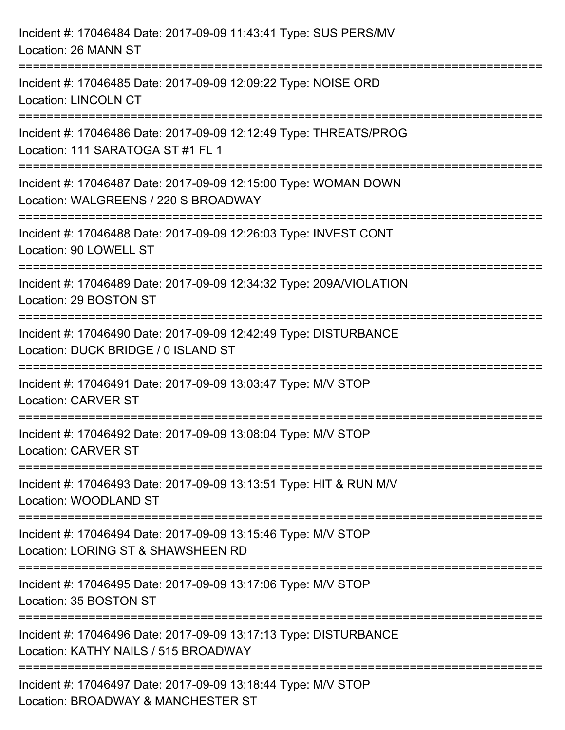| Incident #: 17046484 Date: 2017-09-09 11:43:41 Type: SUS PERS/MV<br>Location: 26 MANN ST                                         |
|----------------------------------------------------------------------------------------------------------------------------------|
| Incident #: 17046485 Date: 2017-09-09 12:09:22 Type: NOISE ORD<br><b>Location: LINCOLN CT</b>                                    |
| Incident #: 17046486 Date: 2017-09-09 12:12:49 Type: THREATS/PROG<br>Location: 111 SARATOGA ST #1 FL 1                           |
| Incident #: 17046487 Date: 2017-09-09 12:15:00 Type: WOMAN DOWN<br>Location: WALGREENS / 220 S BROADWAY<br>--------------------- |
| Incident #: 17046488 Date: 2017-09-09 12:26:03 Type: INVEST CONT<br>Location: 90 LOWELL ST                                       |
| Incident #: 17046489 Date: 2017-09-09 12:34:32 Type: 209A/VIOLATION<br>Location: 29 BOSTON ST                                    |
| Incident #: 17046490 Date: 2017-09-09 12:42:49 Type: DISTURBANCE<br>Location: DUCK BRIDGE / 0 ISLAND ST                          |
| Incident #: 17046491 Date: 2017-09-09 13:03:47 Type: M/V STOP<br><b>Location: CARVER ST</b>                                      |
| Incident #: 17046492 Date: 2017-09-09 13:08:04 Type: M/V STOP<br><b>Location: CARVER ST</b>                                      |
| Incident #: 17046493 Date: 2017-09-09 13:13:51 Type: HIT & RUN M/V<br>Location: WOODLAND ST                                      |
| Incident #: 17046494 Date: 2017-09-09 13:15:46 Type: M/V STOP<br>Location: LORING ST & SHAWSHEEN RD                              |
| Incident #: 17046495 Date: 2017-09-09 13:17:06 Type: M/V STOP<br>Location: 35 BOSTON ST                                          |
| Incident #: 17046496 Date: 2017-09-09 13:17:13 Type: DISTURBANCE<br>Location: KATHY NAILS / 515 BROADWAY                         |
| Incident #: 17046497 Date: 2017-09-09 13:18:44 Type: M/V STOP<br>Location: BROADWAY & MANCHESTER ST                              |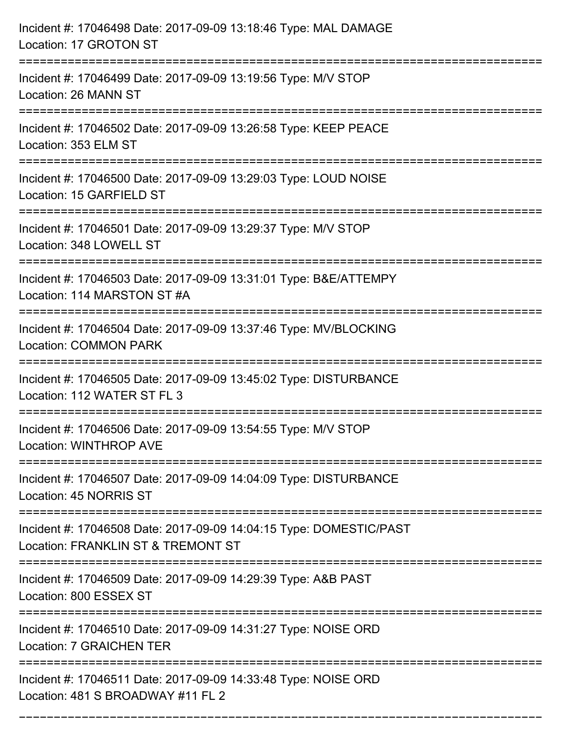| Incident #: 17046498 Date: 2017-09-09 13:18:46 Type: MAL DAMAGE<br>Location: 17 GROTON ST                               |
|-------------------------------------------------------------------------------------------------------------------------|
| Incident #: 17046499 Date: 2017-09-09 13:19:56 Type: M/V STOP<br>Location: 26 MANN ST                                   |
| Incident #: 17046502 Date: 2017-09-09 13:26:58 Type: KEEP PEACE<br>Location: 353 ELM ST                                 |
| Incident #: 17046500 Date: 2017-09-09 13:29:03 Type: LOUD NOISE<br>Location: 15 GARFIELD ST                             |
| Incident #: 17046501 Date: 2017-09-09 13:29:37 Type: M/V STOP<br>Location: 348 LOWELL ST                                |
| Incident #: 17046503 Date: 2017-09-09 13:31:01 Type: B&E/ATTEMPY<br>Location: 114 MARSTON ST #A<br>==================== |
| Incident #: 17046504 Date: 2017-09-09 13:37:46 Type: MV/BLOCKING<br><b>Location: COMMON PARK</b>                        |
| Incident #: 17046505 Date: 2017-09-09 13:45:02 Type: DISTURBANCE<br>Location: 112 WATER ST FL 3                         |
| Incident #: 17046506 Date: 2017-09-09 13:54:55 Type: M/V STOP<br><b>Location: WINTHROP AVE</b>                          |
| Incident #: 17046507 Date: 2017-09-09 14:04:09 Type: DISTURBANCE<br>Location: 45 NORRIS ST                              |
| Incident #: 17046508 Date: 2017-09-09 14:04:15 Type: DOMESTIC/PAST<br>Location: FRANKLIN ST & TREMONT ST                |
| Incident #: 17046509 Date: 2017-09-09 14:29:39 Type: A&B PAST<br>Location: 800 ESSEX ST                                 |
| Incident #: 17046510 Date: 2017-09-09 14:31:27 Type: NOISE ORD<br><b>Location: 7 GRAICHEN TER</b>                       |
| Incident #: 17046511 Date: 2017-09-09 14:33:48 Type: NOISE ORD<br>Location: 481 S BROADWAY #11 FL 2                     |

===========================================================================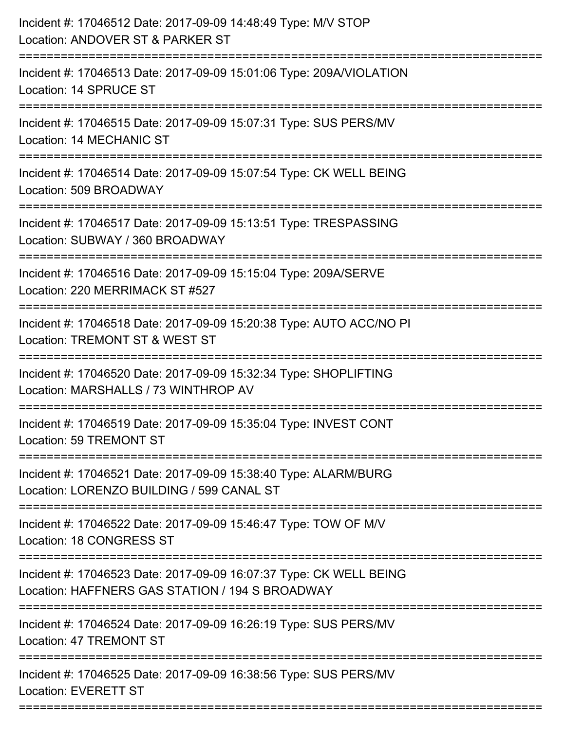| Incident #: 17046512 Date: 2017-09-09 14:48:49 Type: M/V STOP<br>Location: ANDOVER ST & PARKER ST                                       |
|-----------------------------------------------------------------------------------------------------------------------------------------|
| ======================<br>Incident #: 17046513 Date: 2017-09-09 15:01:06 Type: 209A/VIOLATION<br>Location: 14 SPRUCE ST                 |
| Incident #: 17046515 Date: 2017-09-09 15:07:31 Type: SUS PERS/MV<br><b>Location: 14 MECHANIC ST</b><br>================================ |
| Incident #: 17046514 Date: 2017-09-09 15:07:54 Type: CK WELL BEING<br>Location: 509 BROADWAY                                            |
| Incident #: 17046517 Date: 2017-09-09 15:13:51 Type: TRESPASSING<br>Location: SUBWAY / 360 BROADWAY                                     |
| Incident #: 17046516 Date: 2017-09-09 15:15:04 Type: 209A/SERVE<br>Location: 220 MERRIMACK ST #527                                      |
| Incident #: 17046518 Date: 2017-09-09 15:20:38 Type: AUTO ACC/NO PI<br>Location: TREMONT ST & WEST ST                                   |
| Incident #: 17046520 Date: 2017-09-09 15:32:34 Type: SHOPLIFTING<br>Location: MARSHALLS / 73 WINTHROP AV                                |
| Incident #: 17046519 Date: 2017-09-09 15:35:04 Type: INVEST CONT<br>Location: 59 TREMONT ST                                             |
| Incident #: 17046521 Date: 2017-09-09 15:38:40 Type: ALARM/BURG<br>Location: LORENZO BUILDING / 599 CANAL ST                            |
| Incident #: 17046522 Date: 2017-09-09 15:46:47 Type: TOW OF M/V<br><b>Location: 18 CONGRESS ST</b>                                      |
| Incident #: 17046523 Date: 2017-09-09 16:07:37 Type: CK WELL BEING<br>Location: HAFFNERS GAS STATION / 194 S BROADWAY                   |
| Incident #: 17046524 Date: 2017-09-09 16:26:19 Type: SUS PERS/MV<br>Location: 47 TREMONT ST                                             |
| Incident #: 17046525 Date: 2017-09-09 16:38:56 Type: SUS PERS/MV<br><b>Location: EVERETT ST</b>                                         |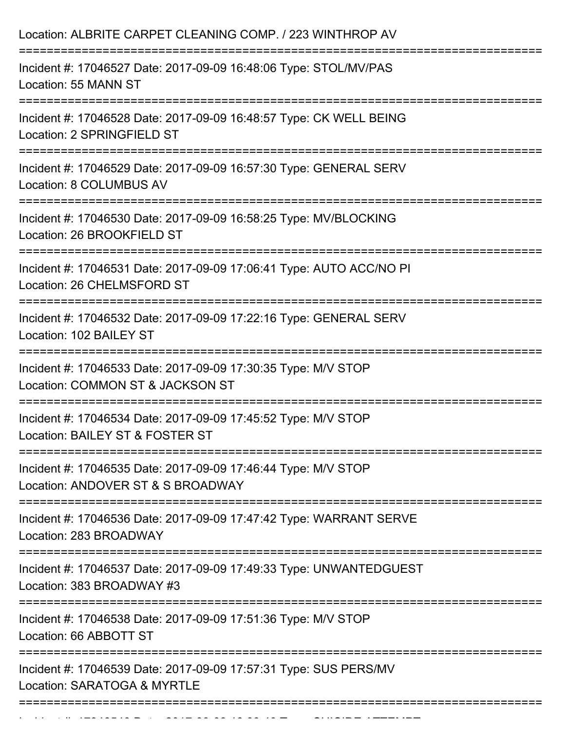| Location: ALBRITE CARPET CLEANING COMP. / 223 WINTHROP AV                                           |
|-----------------------------------------------------------------------------------------------------|
| Incident #: 17046527 Date: 2017-09-09 16:48:06 Type: STOL/MV/PAS<br>Location: 55 MANN ST            |
| Incident #: 17046528 Date: 2017-09-09 16:48:57 Type: CK WELL BEING<br>Location: 2 SPRINGFIELD ST    |
| Incident #: 17046529 Date: 2017-09-09 16:57:30 Type: GENERAL SERV<br><b>Location: 8 COLUMBUS AV</b> |
| Incident #: 17046530 Date: 2017-09-09 16:58:25 Type: MV/BLOCKING<br>Location: 26 BROOKFIELD ST      |
| Incident #: 17046531 Date: 2017-09-09 17:06:41 Type: AUTO ACC/NO PI<br>Location: 26 CHELMSFORD ST   |
| Incident #: 17046532 Date: 2017-09-09 17:22:16 Type: GENERAL SERV<br>Location: 102 BAILEY ST        |
| Incident #: 17046533 Date: 2017-09-09 17:30:35 Type: M/V STOP<br>Location: COMMON ST & JACKSON ST   |
| Incident #: 17046534 Date: 2017-09-09 17:45:52 Type: M/V STOP<br>Location: BAILEY ST & FOSTER ST    |
| Incident #: 17046535 Date: 2017-09-09 17:46:44 Type: M/V STOP<br>Location: ANDOVER ST & S BROADWAY  |
| Incident #: 17046536 Date: 2017-09-09 17:47:42 Type: WARRANT SERVE<br>Location: 283 BROADWAY        |
| Incident #: 17046537 Date: 2017-09-09 17:49:33 Type: UNWANTEDGUEST<br>Location: 383 BROADWAY #3     |
| Incident #: 17046538 Date: 2017-09-09 17:51:36 Type: M/V STOP<br>Location: 66 ABBOTT ST             |
| Incident #: 17046539 Date: 2017-09-09 17:57:31 Type: SUS PERS/MV<br>Location: SARATOGA & MYRTLE     |
|                                                                                                     |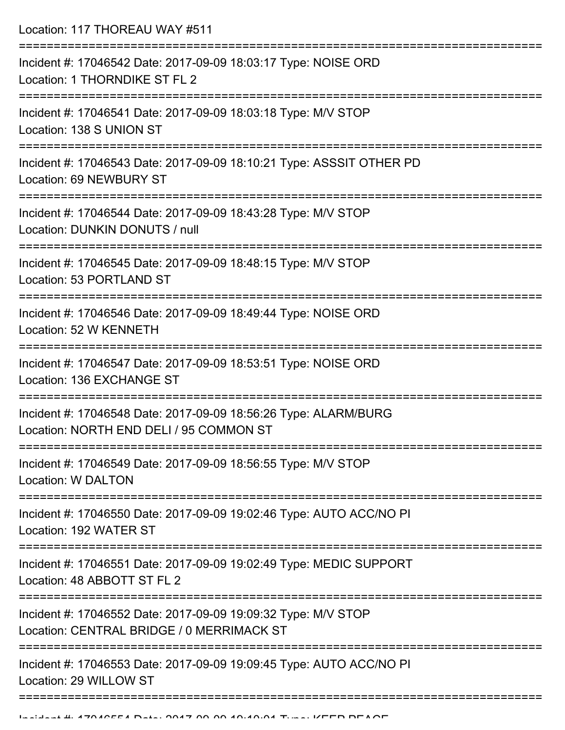Location: 117 THOREAU WAY #511 =========================================================================== Incident #: 17046542 Date: 2017-09-09 18:03:17 Type: NOISE ORD Location: 1 THORNDIKE ST FL 2 =========================================================================== Incident #: 17046541 Date: 2017-09-09 18:03:18 Type: M/V STOP Location: 138 S UNION ST =========================================================================== Incident #: 17046543 Date: 2017-09-09 18:10:21 Type: ASSSIT OTHER PD Location: 69 NEWBURY ST =========================================================================== Incident #: 17046544 Date: 2017-09-09 18:43:28 Type: M/V STOP Location: DUNKIN DONUTS / null =========================================================================== Incident #: 17046545 Date: 2017-09-09 18:48:15 Type: M/V STOP Location: 53 PORTLAND ST =========================================================================== Incident #: 17046546 Date: 2017-09-09 18:49:44 Type: NOISE ORD Location: 52 W KENNETH =========================================================================== Incident #: 17046547 Date: 2017-09-09 18:53:51 Type: NOISE ORD Location: 136 EXCHANGE ST =========================================================================== Incident #: 17046548 Date: 2017-09-09 18:56:26 Type: ALARM/BURG Location: NORTH END DELI / 95 COMMON ST =========================================================================== Incident #: 17046549 Date: 2017-09-09 18:56:55 Type: M/V STOP Location: W DALTON =========================================================================== Incident #: 17046550 Date: 2017-09-09 19:02:46 Type: AUTO ACC/NO PI Location: 192 WATER ST =========================================================================== Incident #: 17046551 Date: 2017-09-09 19:02:49 Type: MEDIC SUPPORT Location: 48 ABBOTT ST FL 2 =========================================================================== Incident #: 17046552 Date: 2017-09-09 19:09:32 Type: M/V STOP Location: CENTRAL BRIDGE / 0 MERRIMACK ST =========================================================================== Incident #: 17046553 Date: 2017-09-09 19:09:45 Type: AUTO ACC/NO PI Location: 29 WILLOW ST ======================================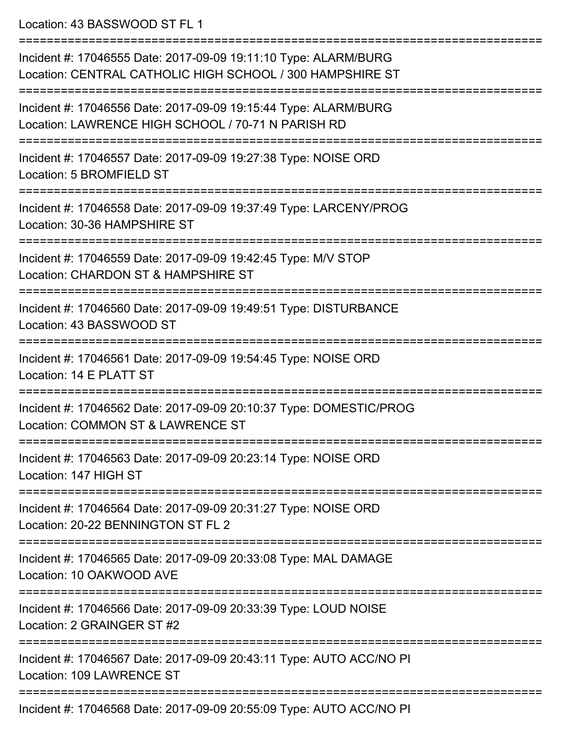Location: 43 BASSWOOD ST FL 1

| Incident #: 17046555 Date: 2017-09-09 19:11:10 Type: ALARM/BURG<br>Location: CENTRAL CATHOLIC HIGH SCHOOL / 300 HAMPSHIRE ST |
|------------------------------------------------------------------------------------------------------------------------------|
| Incident #: 17046556 Date: 2017-09-09 19:15:44 Type: ALARM/BURG<br>Location: LAWRENCE HIGH SCHOOL / 70-71 N PARISH RD        |
| Incident #: 17046557 Date: 2017-09-09 19:27:38 Type: NOISE ORD<br>Location: 5 BROMFIELD ST                                   |
| Incident #: 17046558 Date: 2017-09-09 19:37:49 Type: LARCENY/PROG<br>Location: 30-36 HAMPSHIRE ST                            |
| Incident #: 17046559 Date: 2017-09-09 19:42:45 Type: M/V STOP<br>Location: CHARDON ST & HAMPSHIRE ST                         |
| Incident #: 17046560 Date: 2017-09-09 19:49:51 Type: DISTURBANCE<br>Location: 43 BASSWOOD ST                                 |
| Incident #: 17046561 Date: 2017-09-09 19:54:45 Type: NOISE ORD<br>Location: 14 E PLATT ST                                    |
| Incident #: 17046562 Date: 2017-09-09 20:10:37 Type: DOMESTIC/PROG<br>Location: COMMON ST & LAWRENCE ST                      |
| Incident #: 17046563 Date: 2017-09-09 20:23:14 Type: NOISE ORD<br>Location: 147 HIGH ST                                      |
| Incident #: 17046564 Date: 2017-09-09 20:31:27 Type: NOISE ORD<br>Location: 20-22 BENNINGTON ST FL 2                         |
| Incident #: 17046565 Date: 2017-09-09 20:33:08 Type: MAL DAMAGE<br>Location: 10 OAKWOOD AVE                                  |
| Incident #: 17046566 Date: 2017-09-09 20:33:39 Type: LOUD NOISE<br>Location: 2 GRAINGER ST #2                                |
| Incident #: 17046567 Date: 2017-09-09 20:43:11 Type: AUTO ACC/NO PI<br>Location: 109 LAWRENCE ST                             |
| 0.0047,00.00.005<br>$\sim$ $\sim$ $\sim$                                                                                     |

Incident #: 17046568 Date: 2017-09-09 20:55:09 Type: AUTO ACC/NO PI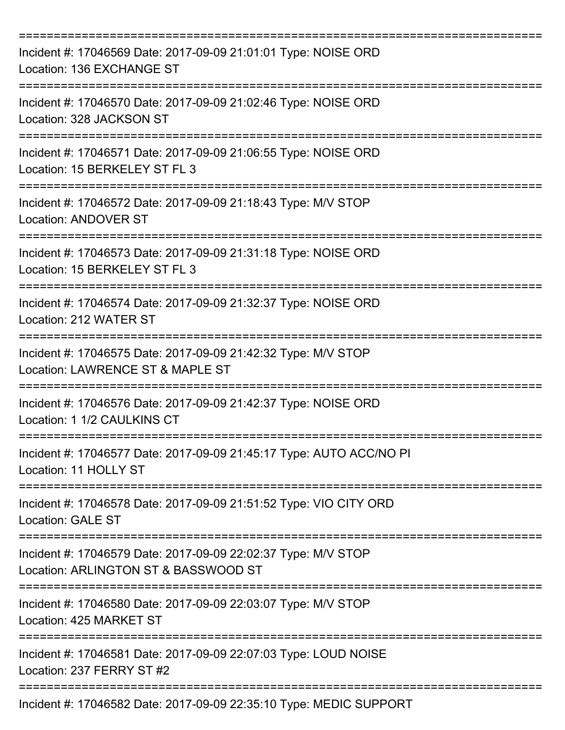| Incident #: 17046569 Date: 2017-09-09 21:01:01 Type: NOISE ORD<br>Location: 136 EXCHANGE ST           |
|-------------------------------------------------------------------------------------------------------|
| Incident #: 17046570 Date: 2017-09-09 21:02:46 Type: NOISE ORD<br>Location: 328 JACKSON ST            |
| Incident #: 17046571 Date: 2017-09-09 21:06:55 Type: NOISE ORD<br>Location: 15 BERKELEY ST FL 3       |
| Incident #: 17046572 Date: 2017-09-09 21:18:43 Type: M/V STOP<br><b>Location: ANDOVER ST</b>          |
| Incident #: 17046573 Date: 2017-09-09 21:31:18 Type: NOISE ORD<br>Location: 15 BERKELEY ST FL 3       |
| Incident #: 17046574 Date: 2017-09-09 21:32:37 Type: NOISE ORD<br>Location: 212 WATER ST              |
| Incident #: 17046575 Date: 2017-09-09 21:42:32 Type: M/V STOP<br>Location: LAWRENCE ST & MAPLE ST     |
| Incident #: 17046576 Date: 2017-09-09 21:42:37 Type: NOISE ORD<br>Location: 1 1/2 CAULKINS CT         |
| Incident #: 17046577 Date: 2017-09-09 21:45:17 Type: AUTO ACC/NO PI<br>Location: 11 HOLLY ST          |
| Incident #: 17046578 Date: 2017-09-09 21:51:52 Type: VIO CITY ORD<br><b>Location: GALE ST</b>         |
| Incident #: 17046579 Date: 2017-09-09 22:02:37 Type: M/V STOP<br>Location: ARLINGTON ST & BASSWOOD ST |
| Incident #: 17046580 Date: 2017-09-09 22:03:07 Type: M/V STOP<br>Location: 425 MARKET ST              |
| Incident #: 17046581 Date: 2017-09-09 22:07:03 Type: LOUD NOISE<br>Location: 237 FERRY ST #2          |
| Incident #: 17046582 Date: 2017-09-09 22:35:10 Type: MEDIC SUPPORT                                    |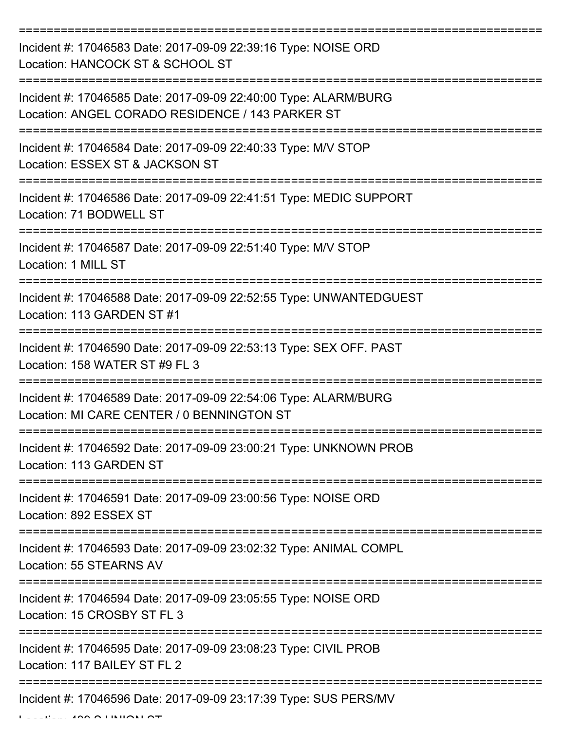| Incident #: 17046583 Date: 2017-09-09 22:39:16 Type: NOISE ORD<br>Location: HANCOCK ST & SCHOOL ST                  |
|---------------------------------------------------------------------------------------------------------------------|
| Incident #: 17046585 Date: 2017-09-09 22:40:00 Type: ALARM/BURG<br>Location: ANGEL CORADO RESIDENCE / 143 PARKER ST |
| Incident #: 17046584 Date: 2017-09-09 22:40:33 Type: M/V STOP<br>Location: ESSEX ST & JACKSON ST                    |
| Incident #: 17046586 Date: 2017-09-09 22:41:51 Type: MEDIC SUPPORT<br>Location: 71 BODWELL ST                       |
| Incident #: 17046587 Date: 2017-09-09 22:51:40 Type: M/V STOP<br>Location: 1 MILL ST                                |
| Incident #: 17046588 Date: 2017-09-09 22:52:55 Type: UNWANTEDGUEST<br>Location: 113 GARDEN ST #1                    |
| Incident #: 17046590 Date: 2017-09-09 22:53:13 Type: SEX OFF. PAST<br>Location: 158 WATER ST #9 FL 3                |
| Incident #: 17046589 Date: 2017-09-09 22:54:06 Type: ALARM/BURG<br>Location: MI CARE CENTER / 0 BENNINGTON ST       |
| Incident #: 17046592 Date: 2017-09-09 23:00:21 Type: UNKNOWN PROB<br>Location: 113 GARDEN ST                        |
| Incident #: 17046591 Date: 2017-09-09 23:00:56 Type: NOISE ORD<br>Location: 892 ESSEX ST                            |
| Incident #: 17046593 Date: 2017-09-09 23:02:32 Type: ANIMAL COMPL<br>Location: 55 STEARNS AV                        |
| Incident #: 17046594 Date: 2017-09-09 23:05:55 Type: NOISE ORD<br>Location: 15 CROSBY ST FL 3                       |
| Incident #: 17046595 Date: 2017-09-09 23:08:23 Type: CIVIL PROB<br>Location: 117 BAILEY ST FL 2                     |
| Incident #: 17046596 Date: 2017-09-09 23:17:39 Type: SUS PERS/MV                                                    |

 $L = L$   $L = 400$  S UNION ST